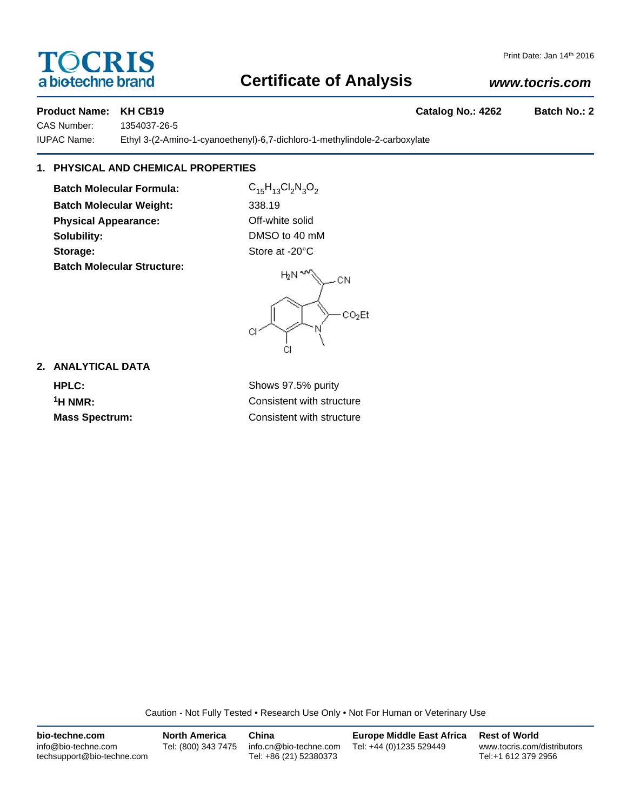# **TOCRIS** a biotechne brand

### Print Date: Jan 14th 2016

# **Certificate of Analysis**

## *www.tocris.com*

**Product Name: KH CB19 Catalog No.: 4262 Batch No.: 2** 

CAS Number: 1354037-26-5 IUPAC Name: Ethyl 3-(2-Amino-1-cyanoethenyl)-6,7-dichloro-1-methylindole-2-carboxylate

## **1. PHYSICAL AND CHEMICAL PROPERTIES**

**Batch Molecular Formula:** C<sub>15</sub>H<sub>13</sub>Cl<sub>2</sub>N<sub>3</sub>O<sub>2</sub> **Batch Molecular Weight:** 338.19 **Physical Appearance: Contract Contract Contract Physical Appearance:** Off-white solid **Solubility:** DMSO to 40 mM Storage: Store at -20°C **Batch Molecular Structure:**

 $H_2N^{\infty}$ -CN  $CO<sub>2</sub>Et$ C. ĊI

## **2. ANALYTICAL DATA**

**HPLC:** Shows 97.5% purity **1H NMR:** Consistent with structure **Mass Spectrum:** Consistent with structure

Caution - Not Fully Tested • Research Use Only • Not For Human or Veterinary Use

| bio-techne.com                                    | <b>North America</b> | China                                            | <b>Europe Middle East Africa</b> | <b>Rest of World</b>                               |
|---------------------------------------------------|----------------------|--------------------------------------------------|----------------------------------|----------------------------------------------------|
| info@bio-techne.com<br>techsupport@bio-techne.com | Tel: (800) 343 7475  | info.cn@bio-techne.com<br>Tel: +86 (21) 52380373 | Tel: +44 (0)1235 529449          | www.tocris.com/distributors<br>Tel:+1 612 379 2956 |